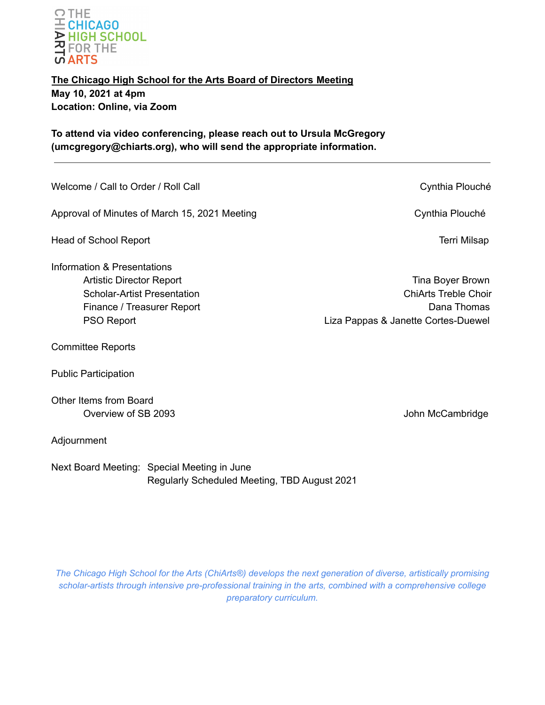

# **The Chicago High School for the Arts Board of Directors Meeting May 10, 2021 at 4pm Location: Online, via Zoom**

**To attend via video conferencing, please reach out to Ursula McGregory (umcgregory@chiarts.org), who will send the appropriate information.**

Welcome / Call to Order / Roll Call Cynthia Plouché

Approval of Minutes of March 15, 2021 Meeting Cynthia Plouché Cynthia Plouché

Head of School Report **Terri Milsap** and the second second second second second second second second second second second second second second second second second second second second second second second second second se

Information & Presentations

Committee Reports

Public Participation

Other Items from Board Overview of SB 2093 **John McCambridge** 

Adjournment

Next Board Meeting: Special Meeting in June Regularly Scheduled Meeting, TBD August 2021

Artistic Director Report **Time Boyer Brown** Scholar-Artist Presentation **ChiArts Treble Choir** ChiArts Treble Choir Finance / Treasurer Report **Dana Thomas Dana Thomas** PSO Report **PSO Report EXAMPLE 2018** Liza Pappas & Janette Cortes-Duewel

*The Chicago High School for the Arts (ChiArts®) develops the next generation of diverse, artistically promising scholar-artists through intensive pre-professional training in the arts, combined with a comprehensive college preparatory curriculum.*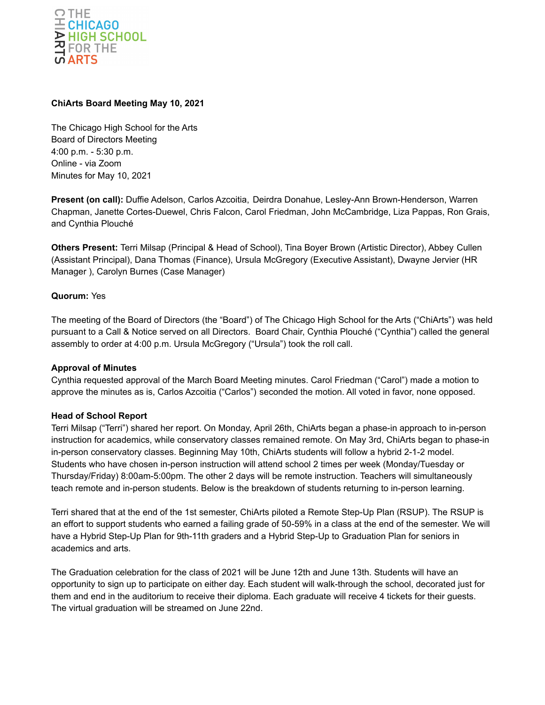

### **ChiArts Board Meeting May 10, 2021**

The Chicago High School for the Arts Board of Directors Meeting 4:00 p.m. - 5:30 p.m. Online - via Zoom Minutes for May 10, 2021

**Present (on call):** Duffie Adelson, Carlos Azcoitia, Deirdra Donahue, Lesley-Ann Brown-Henderson, Warren Chapman, Janette Cortes-Duewel, Chris Falcon, Carol Friedman, John McCambridge, Liza Pappas, Ron Grais, and Cynthia Plouché

**Others Present:** Terri Milsap (Principal & Head of School), Tina Boyer Brown (Artistic Director), Abbey Cullen (Assistant Principal), Dana Thomas (Finance), Ursula McGregory (Executive Assistant), Dwayne Jervier (HR Manager ), Carolyn Burnes (Case Manager)

### **Quorum:** Yes

The meeting of the Board of Directors (the "Board") of The Chicago High School for the Arts ("ChiArts") was held pursuant to a Call & Notice served on all Directors. Board Chair, Cynthia Plouché ("Cynthia") called the general assembly to order at 4:00 p.m. Ursula McGregory ("Ursula") took the roll call.

### **Approval of Minutes**

Cynthia requested approval of the March Board Meeting minutes. Carol Friedman ("Carol") made a motion to approve the minutes as is, Carlos Azcoitia ("Carlos") seconded the motion. All voted in favor, none opposed.

### **Head of School Report**

Terri Milsap ("Terri") shared her report. On Monday, April 26th, ChiArts began a phase-in approach to in-person instruction for academics, while conservatory classes remained remote. On May 3rd, ChiArts began to phase-in in-person conservatory classes. Beginning May 10th, ChiArts students will follow a hybrid 2-1-2 model. Students who have chosen in-person instruction will attend school 2 times per week (Monday/Tuesday or Thursday/Friday) 8:00am-5:00pm. The other 2 days will be remote instruction. Teachers will simultaneously teach remote and in-person students. Below is the breakdown of students returning to in-person learning.

Terri shared that at the end of the 1st semester, ChiArts piloted a Remote Step-Up Plan (RSUP). The RSUP is an effort to support students who earned a failing grade of 50-59% in a class at the end of the semester. We will have a Hybrid Step-Up Plan for 9th-11th graders and a Hybrid Step-Up to Graduation Plan for seniors in academics and arts.

The Graduation celebration for the class of 2021 will be June 12th and June 13th. Students will have an opportunity to sign up to participate on either day. Each student will walk-through the school, decorated just for them and end in the auditorium to receive their diploma. Each graduate will receive 4 tickets for their guests. The virtual graduation will be streamed on June 22nd.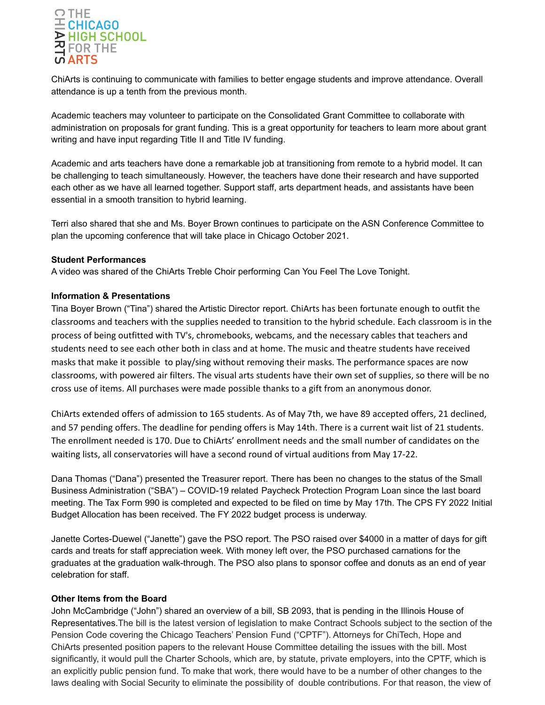

ChiArts is continuing to communicate with families to better engage students and improve attendance. Overall attendance is up a tenth from the previous month.

Academic teachers may volunteer to participate on the Consolidated Grant Committee to collaborate with administration on proposals for grant funding. This is a great opportunity for teachers to learn more about grant writing and have input regarding Title II and Title IV funding.

Academic and arts teachers have done a remarkable job at transitioning from remote to a hybrid model. It can be challenging to teach simultaneously. However, the teachers have done their research and have supported each other as we have all learned together. Support staff, arts department heads, and assistants have been essential in a smooth transition to hybrid learning.

Terri also shared that she and Ms. Boyer Brown continues to participate on the ASN Conference Committee to plan the upcoming conference that will take place in Chicago October 2021.

### **Student Performances**

A video was shared of the ChiArts Treble Choir performing Can You Feel The Love Tonight.

### **Information & Presentations**

Tina Boyer Brown ("Tina") shared the Artistic Director report. ChiArts has been fortunate enough to outfit the classrooms and teachers with the supplies needed to transition to the hybrid schedule. Each classroom is in the process of being outfitted with TV's, chromebooks, webcams, and the necessary cables that teachers and students need to see each other both in class and at home. The music and theatre students have received masks that make it possible to play/sing without removing their masks. The performance spaces are now classrooms, with powered air filters. The visual arts students have their own set of supplies, so there will be no cross use of items. All purchases were made possible thanks to a gift from an anonymous donor.

ChiArts extended offers of admission to 165 students. As of May 7th, we have 89 accepted offers, 21 declined, and 57 pending offers. The deadline for pending offers is May 14th. There is a current wait list of 21 students. The enrollment needed is 170. Due to ChiArts' enrollment needs and the small number of candidates on the waiting lists, all conservatories will have a second round of virtual auditions from May 17-22.

Dana Thomas ("Dana") presented the Treasurer report. There has been no changes to the status of the Small Business Administration ("SBA") – COVID-19 related Paycheck Protection Program Loan since the last board meeting. The Tax Form 990 is completed and expected to be filed on time by May 17th. The CPS FY 2022 Initial Budget Allocation has been received. The FY 2022 budget process is underway.

Janette Cortes-Duewel ("Janette") gave the PSO report. The PSO raised over \$4000 in a matter of days for gift cards and treats for staff appreciation week. With money left over, the PSO purchased carnations for the graduates at the graduation walk-through. The PSO also plans to sponsor coffee and donuts as an end of year celebration for staff.

### **Other Items from the Board**

John McCambridge ("John") shared an overview of a bill, SB 2093, that is pending in the Illinois House of Representatives.The bill is the latest version of legislation to make Contract Schools subject to the section of the Pension Code covering the Chicago Teachers' Pension Fund ("CPTF"). Attorneys for ChiTech, Hope and ChiArts presented position papers to the relevant House Committee detailing the issues with the bill. Most significantly, it would pull the Charter Schools, which are, by statute, private employers, into the CPTF, which is an explicitly public pension fund. To make that work, there would have to be a number of other changes to the laws dealing with Social Security to eliminate the possibility of double contributions. For that reason, the view of